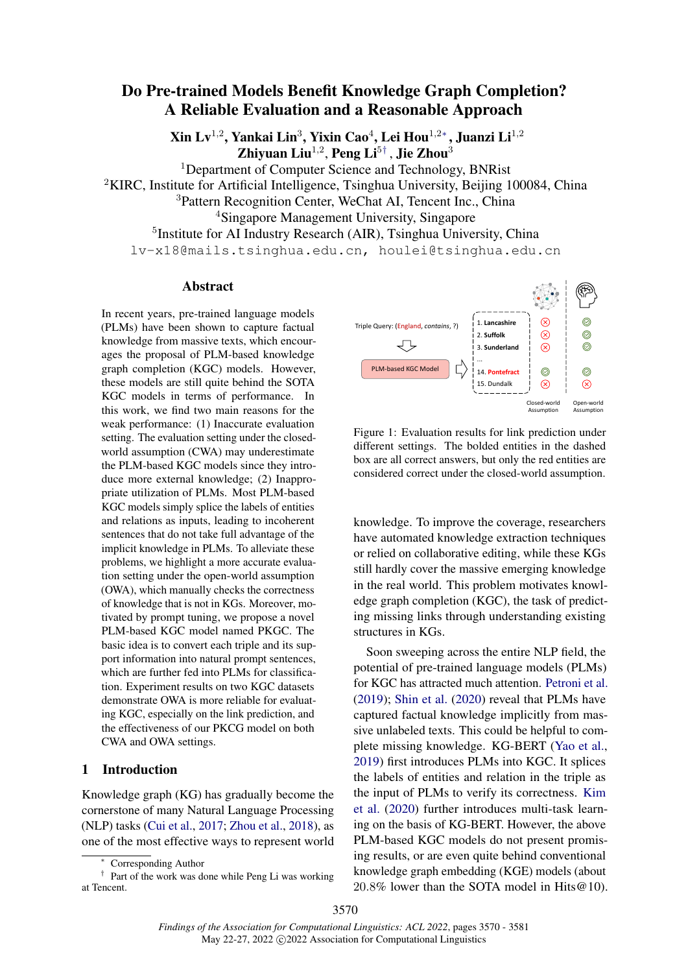# <span id="page-0-0"></span>Do Pre-trained Models Benefit Knowledge Graph Completion? A Reliable Evaluation and a Reasonable Approach

Xin Lv $^{1,2}$ , Yankai Lin $^3$ , Yixin Cao $^4$ , Lei Hou $^{1,2\ast}$ , Juanzi Li $^{1,2}$ Zhiyuan Liu<sup>1,2</sup>, Peng Li<sup>5[†](#page-0-0)</sup>, Jie Zhou<sup>3</sup>

<sup>1</sup>Department of Computer Science and Technology, BNRist <sup>2</sup>KIRC, Institute for Artificial Intelligence, Tsinghua University, Beijing 100084, China <sup>3</sup>Pattern Recognition Center, WeChat AI, Tencent Inc., China <sup>4</sup>Singapore Management University, Singapore <sup>5</sup>Institute for AI Industry Research (AIR), Tsinghua University, China lv-x18@mails.tsinghua.edu.cn, houlei@tsinghua.edu.cn

### Abstract

In recent years, pre-trained language models (PLMs) have been shown to capture factual knowledge from massive texts, which encourages the proposal of PLM-based knowledge graph completion (KGC) models. However, these models are still quite behind the SOTA KGC models in terms of performance. In this work, we find two main reasons for the weak performance: (1) Inaccurate evaluation setting. The evaluation setting under the closedworld assumption (CWA) may underestimate the PLM-based KGC models since they introduce more external knowledge; (2) Inappropriate utilization of PLMs. Most PLM-based KGC models simply splice the labels of entities and relations as inputs, leading to incoherent sentences that do not take full advantage of the implicit knowledge in PLMs. To alleviate these problems, we highlight a more accurate evaluation setting under the open-world assumption (OWA), which manually checks the correctness of knowledge that is not in KGs. Moreover, motivated by prompt tuning, we propose a novel PLM-based KGC model named PKGC. The basic idea is to convert each triple and its support information into natural prompt sentences, which are further fed into PLMs for classification. Experiment results on two KGC datasets demonstrate OWA is more reliable for evaluating KGC, especially on the link prediction, and the effectiveness of our PKCG model on both CWA and OWA settings.

# 1 Introduction

Knowledge graph (KG) has gradually become the cornerstone of many Natural Language Processing (NLP) tasks [\(Cui et al.,](#page-8-0) [2017;](#page-8-0) [Zhou et al.,](#page-9-0) [2018\)](#page-9-0), as one of the most effective ways to represent world

<span id="page-0-1"></span>

Figure 1: Evaluation results for link prediction under different settings. The bolded entities in the dashed box are all correct answers, but only the red entities are considered correct under the closed-world assumption.

knowledge. To improve the coverage, researchers have automated knowledge extraction techniques or relied on collaborative editing, while these KGs still hardly cover the massive emerging knowledge in the real world. This problem motivates knowledge graph completion (KGC), the task of predicting missing links through understanding existing structures in KGs.

Soon sweeping across the entire NLP field, the potential of pre-trained language models (PLMs) for KGC has attracted much attention. [Petroni et al.](#page-8-1) [\(2019\)](#page-8-1); [Shin et al.](#page-9-1) [\(2020\)](#page-9-1) reveal that PLMs have captured factual knowledge implicitly from massive unlabeled texts. This could be helpful to complete missing knowledge. KG-BERT [\(Yao et al.,](#page-9-2) [2019\)](#page-9-2) first introduces PLMs into KGC. It splices the labels of entities and relation in the triple as the input of PLMs to verify its correctness. [Kim](#page-8-2) [et al.](#page-8-2) [\(2020\)](#page-8-2) further introduces multi-task learning on the basis of KG-BERT. However, the above PLM-based KGC models do not present promising results, or are even quite behind conventional knowledge graph embedding (KGE) models (about 20.8% lower than the SOTA model in Hits@10).

Corresponding Author

<sup>†</sup> Part of the work was done while Peng Li was working at Tencent.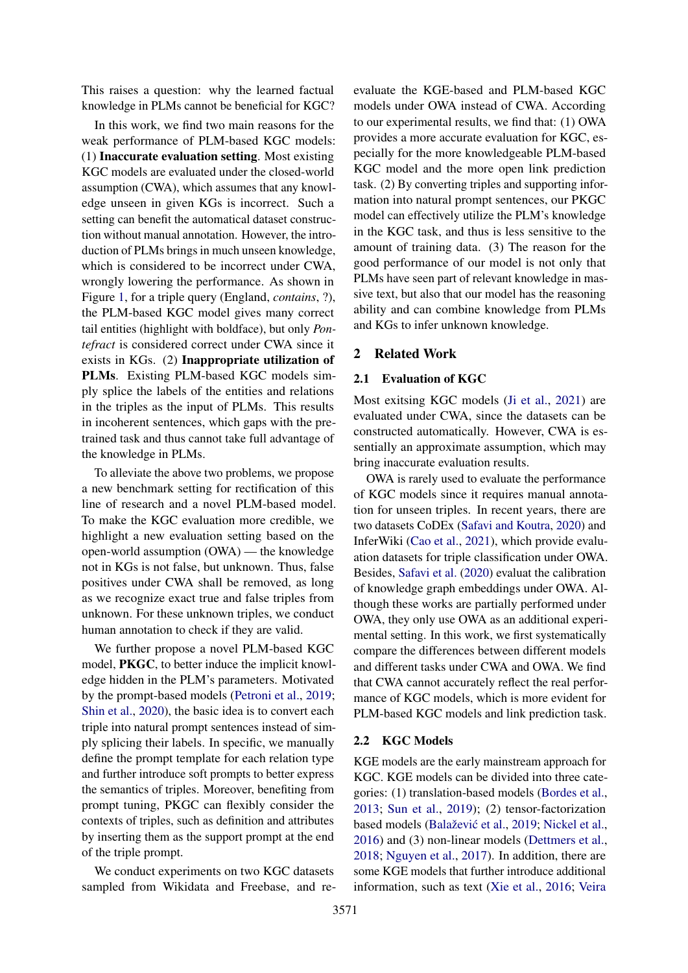This raises a question: why the learned factual knowledge in PLMs cannot be beneficial for KGC?

In this work, we find two main reasons for the weak performance of PLM-based KGC models: (1) Inaccurate evaluation setting. Most existing KGC models are evaluated under the closed-world assumption (CWA), which assumes that any knowledge unseen in given KGs is incorrect. Such a setting can benefit the automatical dataset construction without manual annotation. However, the introduction of PLMs brings in much unseen knowledge, which is considered to be incorrect under CWA, wrongly lowering the performance. As shown in Figure [1,](#page-0-1) for a triple query (England, *contains*, ?), the PLM-based KGC model gives many correct tail entities (highlight with boldface), but only *Pontefract* is considered correct under CWA since it exists in KGs. (2) Inappropriate utilization of PLMs. Existing PLM-based KGC models simply splice the labels of the entities and relations in the triples as the input of PLMs. This results in incoherent sentences, which gaps with the pretrained task and thus cannot take full advantage of the knowledge in PLMs.

To alleviate the above two problems, we propose a new benchmark setting for rectification of this line of research and a novel PLM-based model. To make the KGC evaluation more credible, we highlight a new evaluation setting based on the open-world assumption (OWA) — the knowledge not in KGs is not false, but unknown. Thus, false positives under CWA shall be removed, as long as we recognize exact true and false triples from unknown. For these unknown triples, we conduct human annotation to check if they are valid.

We further propose a novel PLM-based KGC model, PKGC, to better induce the implicit knowledge hidden in the PLM's parameters. Motivated by the prompt-based models [\(Petroni et al.,](#page-8-1) [2019;](#page-8-1) [Shin et al.,](#page-9-1) [2020\)](#page-9-1), the basic idea is to convert each triple into natural prompt sentences instead of simply splicing their labels. In specific, we manually define the prompt template for each relation type and further introduce soft prompts to better express the semantics of triples. Moreover, benefiting from prompt tuning, PKGC can flexibly consider the contexts of triples, such as definition and attributes by inserting them as the support prompt at the end of the triple prompt.

We conduct experiments on two KGC datasets sampled from Wikidata and Freebase, and reevaluate the KGE-based and PLM-based KGC models under OWA instead of CWA. According to our experimental results, we find that: (1) OWA provides a more accurate evaluation for KGC, especially for the more knowledgeable PLM-based KGC model and the more open link prediction task. (2) By converting triples and supporting information into natural prompt sentences, our PKGC model can effectively utilize the PLM's knowledge in the KGC task, and thus is less sensitive to the amount of training data. (3) The reason for the good performance of our model is not only that PLMs have seen part of relevant knowledge in massive text, but also that our model has the reasoning ability and can combine knowledge from PLMs and KGs to infer unknown knowledge.

### <span id="page-1-0"></span>2 Related Work

#### 2.1 Evaluation of KGC

Most exitsing KGC models [\(Ji et al.,](#page-8-3) [2021\)](#page-8-3) are evaluated under CWA, since the datasets can be constructed automatically. However, CWA is essentially an approximate assumption, which may bring inaccurate evaluation results.

OWA is rarely used to evaluate the performance of KGC models since it requires manual annotation for unseen triples. In recent years, there are two datasets CoDEx [\(Safavi and Koutra,](#page-9-3) [2020\)](#page-9-3) and InferWiki [\(Cao et al.,](#page-8-4) [2021\)](#page-8-4), which provide evaluation datasets for triple classification under OWA. Besides, [Safavi et al.](#page-9-4) [\(2020\)](#page-9-4) evaluat the calibration of knowledge graph embeddings under OWA. Although these works are partially performed under OWA, they only use OWA as an additional experimental setting. In this work, we first systematically compare the differences between different models and different tasks under CWA and OWA. We find that CWA cannot accurately reflect the real performance of KGC models, which is more evident for PLM-based KGC models and link prediction task.

#### 2.2 KGC Models

KGE models are the early mainstream approach for KGC. KGE models can be divided into three categories: (1) translation-based models [\(Bordes et al.,](#page-8-5) [2013;](#page-8-5) [Sun et al.,](#page-9-5) [2019\)](#page-9-5); (2) tensor-factorization based models (Balažević et al., [2019;](#page-8-6) [Nickel et al.,](#page-8-7) [2016\)](#page-8-7) and (3) non-linear models [\(Dettmers et al.,](#page-8-8) [2018;](#page-8-8) [Nguyen et al.,](#page-8-9) [2017\)](#page-8-9). In addition, there are some KGE models that further introduce additional information, such as text [\(Xie et al.,](#page-9-6) [2016;](#page-9-6) [Veira](#page-9-7)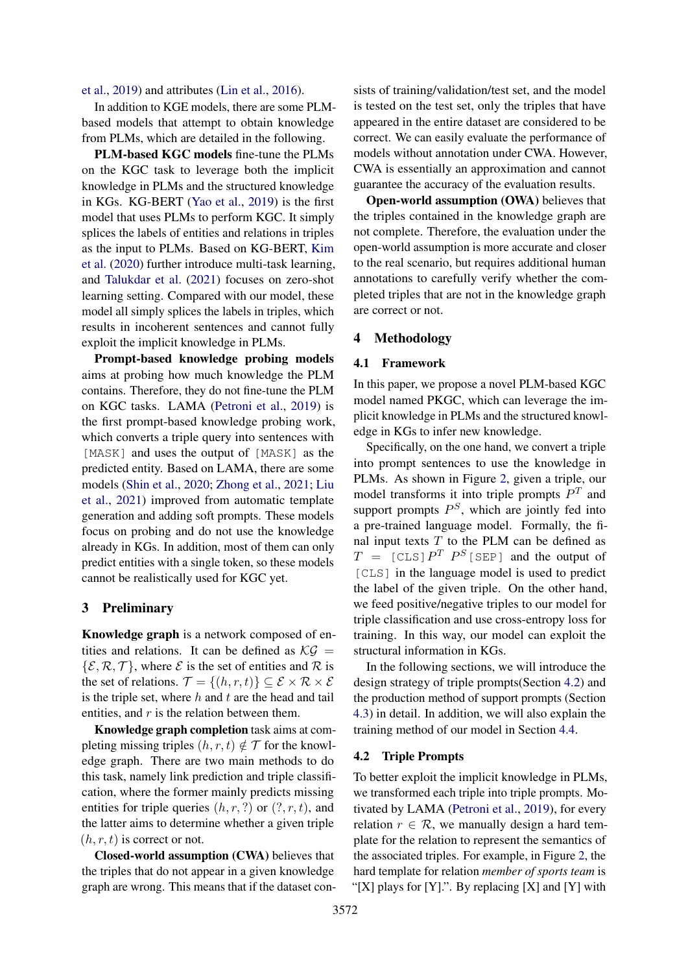[et al.,](#page-9-7) [2019\)](#page-9-7) and attributes [\(Lin et al.,](#page-8-10) [2016\)](#page-8-10).

In addition to KGE models, there are some PLMbased models that attempt to obtain knowledge from PLMs, which are detailed in the following.

PLM-based KGC models fine-tune the PLMs on the KGC task to leverage both the implicit knowledge in PLMs and the structured knowledge in KGs. KG-BERT [\(Yao et al.,](#page-9-2) [2019\)](#page-9-2) is the first model that uses PLMs to perform KGC. It simply splices the labels of entities and relations in triples as the input to PLMs. Based on KG-BERT, [Kim](#page-8-2) [et al.](#page-8-2) [\(2020\)](#page-8-2) further introduce multi-task learning, and [Talukdar et al.](#page-9-8) [\(2021\)](#page-9-8) focuses on zero-shot learning setting. Compared with our model, these model all simply splices the labels in triples, which results in incoherent sentences and cannot fully exploit the implicit knowledge in PLMs.

Prompt-based knowledge probing models aims at probing how much knowledge the PLM contains. Therefore, they do not fine-tune the PLM on KGC tasks. LAMA [\(Petroni et al.,](#page-8-1) [2019\)](#page-8-1) is the first prompt-based knowledge probing work, which converts a triple query into sentences with [MASK] and uses the output of [MASK] as the predicted entity. Based on LAMA, there are some models [\(Shin et al.,](#page-9-1) [2020;](#page-9-1) [Zhong et al.,](#page-9-9) [2021;](#page-9-9) [Liu](#page-8-11) [et al.,](#page-8-11) [2021\)](#page-8-11) improved from automatic template generation and adding soft prompts. These models focus on probing and do not use the knowledge already in KGs. In addition, most of them can only predict entities with a single token, so these models cannot be realistically used for KGC yet.

# 3 Preliminary

Knowledge graph is a network composed of entities and relations. It can be defined as  $\mathcal{KG} =$  $\{\mathcal{E}, \mathcal{R}, \mathcal{T}\}\$ , where  $\mathcal E$  is the set of entities and  $\mathcal R$  is the set of relations.  $\mathcal{T} = \{(h, r, t)\} \subseteq \mathcal{E} \times \mathcal{R} \times \mathcal{E}$ is the triple set, where  $h$  and  $t$  are the head and tail entities, and  $r$  is the relation between them.

Knowledge graph completion task aims at completing missing triples  $(h, r, t) \notin \mathcal{T}$  for the knowledge graph. There are two main methods to do this task, namely link prediction and triple classification, where the former mainly predicts missing entities for triple queries  $(h, r, ?)$  or  $(?, r, t)$ , and the latter aims to determine whether a given triple  $(h, r, t)$  is correct or not.

Closed-world assumption (CWA) believes that the triples that do not appear in a given knowledge graph are wrong. This means that if the dataset consists of training/validation/test set, and the model is tested on the test set, only the triples that have appeared in the entire dataset are considered to be correct. We can easily evaluate the performance of models without annotation under CWA. However, CWA is essentially an approximation and cannot guarantee the accuracy of the evaluation results.

Open-world assumption (OWA) believes that the triples contained in the knowledge graph are not complete. Therefore, the evaluation under the open-world assumption is more accurate and closer to the real scenario, but requires additional human annotations to carefully verify whether the completed triples that are not in the knowledge graph are correct or not.

# 4 Methodology

# 4.1 Framework

In this paper, we propose a novel PLM-based KGC model named PKGC, which can leverage the implicit knowledge in PLMs and the structured knowledge in KGs to infer new knowledge.

Specifically, on the one hand, we convert a triple into prompt sentences to use the knowledge in PLMs. As shown in Figure [2,](#page-3-0) given a triple, our model transforms it into triple prompts  $P<sup>T</sup>$  and support prompts  $P^S$ , which are jointly fed into a pre-trained language model. Formally, the final input texts  $T$  to the PLM can be defined as  $T = [CLS] P<sup>T</sup> P<sup>S</sup> [SEP]$  and the output of [CLS] in the language model is used to predict the label of the given triple. On the other hand, we feed positive/negative triples to our model for triple classification and use cross-entropy loss for training. In this way, our model can exploit the structural information in KGs.

In the following sections, we will introduce the design strategy of triple prompts(Section [4.2\)](#page-2-0) and the production method of support prompts (Section [4.3\)](#page-3-1) in detail. In addition, we will also explain the training method of our model in Section [4.4.](#page-4-0)

#### <span id="page-2-0"></span>4.2 Triple Prompts

To better exploit the implicit knowledge in PLMs, we transformed each triple into triple prompts. Motivated by LAMA [\(Petroni et al.,](#page-8-1) [2019\)](#page-8-1), for every relation  $r \in \mathcal{R}$ , we manually design a hard template for the relation to represent the semantics of the associated triples. For example, in Figure [2,](#page-3-0) the hard template for relation *member of sports team* is "[X] plays for  $[Y]$ .". By replacing  $[X]$  and  $[Y]$  with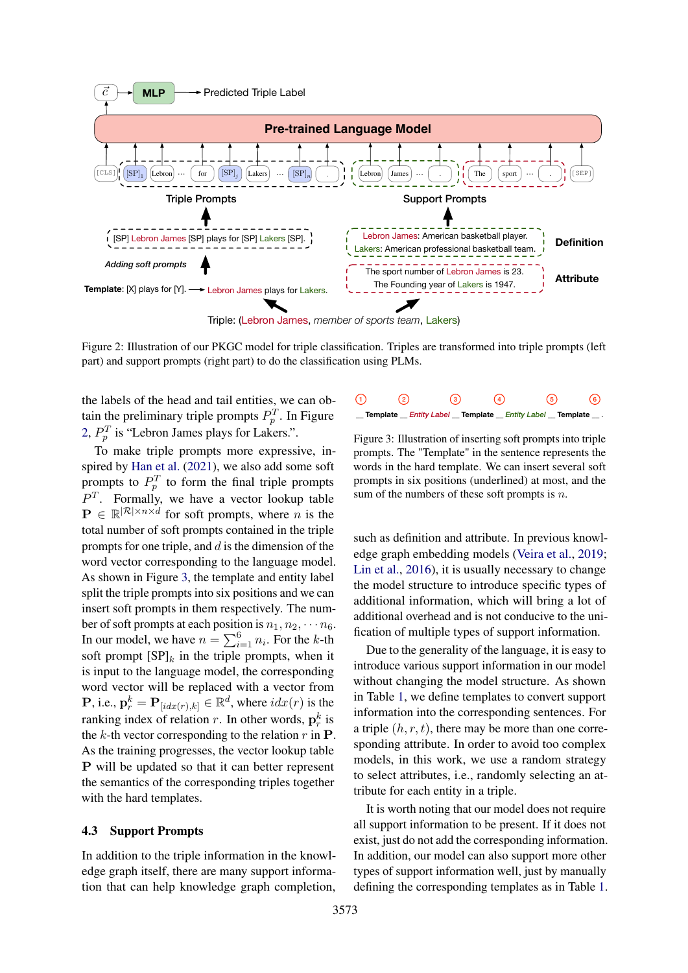<span id="page-3-0"></span>

Figure 2: Illustration of our PKGC model for triple classification. Triples are transformed into triple prompts (left part) and support prompts (right part) to do the classification using PLMs.

the labels of the head and tail entities, we can obtain the preliminary triple prompts  $P_p^T$ . In Figure [2,](#page-3-0)  $P_p^T$  is "Lebron James plays for Lakers.".

To make triple prompts more expressive, inspired by [Han et al.](#page-8-12) [\(2021\)](#page-8-12), we also add some soft prompts to  $P_p^T$  to form the final triple prompts  $P<sup>T</sup>$ . Formally, we have a vector lookup table  $\mathbf{P} \in \mathbb{R}^{|\mathcal{R}| \times n \times d}$  for soft prompts, where *n* is the total number of soft prompts contained in the triple prompts for one triple, and  $d$  is the dimension of the word vector corresponding to the language model. As shown in Figure [3,](#page-3-2) the template and entity label split the triple prompts into six positions and we can insert soft prompts in them respectively. The number of soft prompts at each position is  $n_1, n_2, \cdots n_6$ . In our model, we have  $n = \sum_{i=1}^{6} n_i$ . For the k-th soft prompt  $[SP]_k$  in the triple prompts, when it is input to the language model, the corresponding word vector will be replaced with a vector from **P**, i.e.,  $\mathbf{p}_r^k = \mathbf{P}_{[idx(r),k]} \in \mathbb{R}^d$ , where  $idx(r)$  is the ranking index of relation r. In other words,  $\mathbf{p}_r^k$  is the k-th vector corresponding to the relation  $r$  in  $\bf{P}$ . As the training progresses, the vector lookup table P will be updated so that it can better represent the semantics of the corresponding triples together with the hard templates.

## <span id="page-3-1"></span>4.3 Support Prompts

In addition to the triple information in the knowledge graph itself, there are many support information that can help knowledge graph completion,

<span id="page-3-2"></span>

Figure 3: Illustration of inserting soft prompts into triple prompts. The "Template" in the sentence represents the words in the hard template. We can insert several soft prompts in six positions (underlined) at most, and the sum of the numbers of these soft prompts is  $n$ .

such as definition and attribute. In previous knowledge graph embedding models [\(Veira et al.,](#page-9-7) [2019;](#page-9-7) [Lin et al.,](#page-8-10) [2016\)](#page-8-10), it is usually necessary to change the model structure to introduce specific types of additional information, which will bring a lot of additional overhead and is not conducive to the unification of multiple types of support information.

Due to the generality of the language, it is easy to introduce various support information in our model without changing the model structure. As shown in Table [1,](#page-4-1) we define templates to convert support information into the corresponding sentences. For a triple  $(h, r, t)$ , there may be more than one corresponding attribute. In order to avoid too complex models, in this work, we use a random strategy to select attributes, i.e., randomly selecting an attribute for each entity in a triple.

It is worth noting that our model does not require all support information to be present. If it does not exist, just do not add the corresponding information. In addition, our model can also support more other types of support information well, just by manually defining the corresponding templates as in Table [1.](#page-4-1)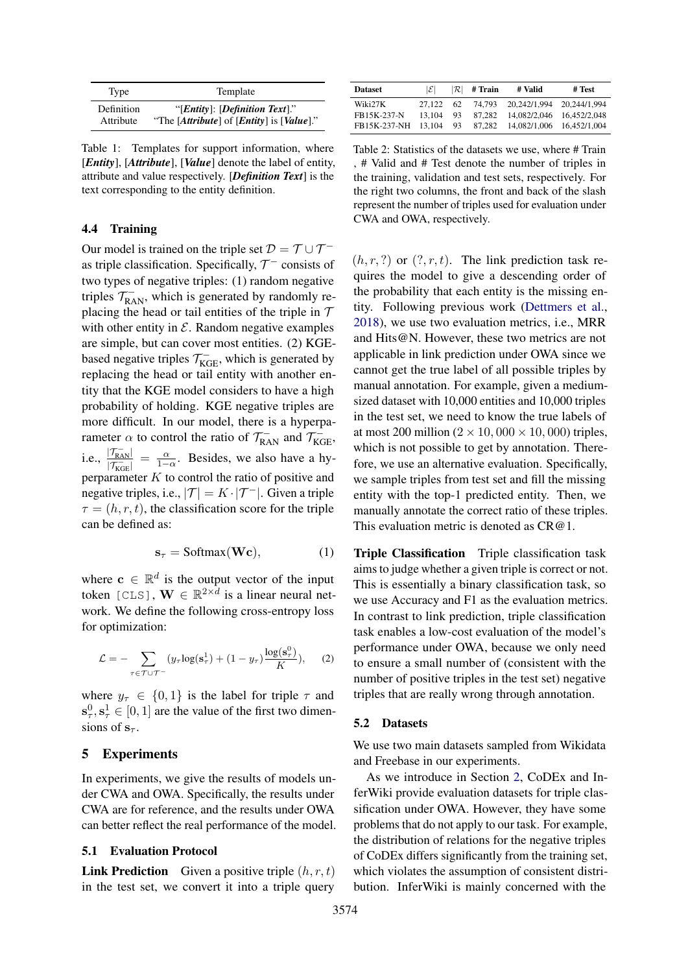<span id="page-4-1"></span>

| Type       | Template                                         |
|------------|--------------------------------------------------|
| Definition | "[ <i>Entity</i> ]: [ <i>Definition Text</i> ]." |
| Attribute  | "The [Attribute] of [Entity] is [Value]."        |

Table 1: Templates for support information, where [*Entity*], [*Attribute*], [*Value*] denote the label of entity, attribute and value respectively. [*Definition Text*] is the text corresponding to the entity definition.

# <span id="page-4-0"></span>4.4 Training

Our model is trained on the triple set  $\mathcal{D} = \mathcal{T} \cup \mathcal{T}^$ as triple classification. Specifically,  $\mathcal{T}^-$  consists of two types of negative triples: (1) random negative triples  $\mathcal{T}_{\text{RAN}}^-$ , which is generated by randomly replacing the head or tail entities of the triple in  $T$ with other entity in  $\mathcal E$ . Random negative examples are simple, but can cover most entities. (2) KGEbased negative triples  $\mathcal{T}_{KGE}^-$ , which is generated by replacing the head or tail entity with another entity that the KGE model considers to have a high probability of holding. KGE negative triples are more difficult. In our model, there is a hyperparameter  $\alpha$  to control the ratio of  $\mathcal{T}_{\text{RAN}}^-$  and  $\mathcal{T}_{\text{KGE}}^-$ , i.e.,  $\frac{|\mathcal{T}_{\text{RAN}}^{-}|}{|\mathcal{T}_{\text{max}}^{-}|}$  $\frac{|\mathcal{T}_{\text{RAN}}|}{|\mathcal{T}_{\text{IGE}}|} = \frac{\alpha}{1-\alpha}$ . Besides, we also have a hyperparameter  $K$  to control the ratio of positive and negative triples, i.e.,  $|\mathcal{T}| = K \cdot |\mathcal{T}^{-}|$ . Given a triple  $\tau = (h, r, t)$ , the classification score for the triple can be defined as:

$$
\mathbf{s}_{\tau} = \text{Softmax}(\mathbf{W}\mathbf{c}),\tag{1}
$$

where  $c \in \mathbb{R}^d$  is the output vector of the input token [CLS],  $\mathbf{W} \in \mathbb{R}^{2 \times d}$  is a linear neural network. We define the following cross-entropy loss for optimization:

$$
\mathcal{L} = -\sum_{\tau \in \mathcal{T} \cup \mathcal{T}^-} (y_\tau \log(\mathbf{s}^1_\tau) + (1 - y_\tau) \frac{\log(\mathbf{s}^0_\tau)}{K}), \quad (2)
$$

where  $y_{\tau} \in \{0,1\}$  is the label for triple  $\tau$  and  $\mathbf{s}_{\tau}^0, \mathbf{s}_{\tau}^1 \in [0, 1]$  are the value of the first two dimensions of  $s_{\tau}$ .

### 5 Experiments

In experiments, we give the results of models under CWA and OWA. Specifically, the results under CWA are for reference, and the results under OWA can better reflect the real performance of the model.

#### <span id="page-4-2"></span>5.1 Evaluation Protocol

**Link Prediction** Given a positive triple  $(h, r, t)$ in the test set, we convert it into a triple query

<span id="page-4-3"></span>

| <b>Dataset</b> | $ \mathcal{E} $ | $ \mathcal{R} $ | # Train | # Valid                          | # Test |
|----------------|-----------------|-----------------|---------|----------------------------------|--------|
| Wiki27K        | 27.122          | 62              |         | 74,793 20,242/1,994 20,244/1,994 |        |
| FB15K-237-N    | 13.104          | 93.             | 87.282  | 14.082/2.046 16.452/2.048        |        |
| FB15K-237-NH   | 13.104          | 93              | 87.282  | 14,082/1,006 16,452/1,004        |        |

Table 2: Statistics of the datasets we use, where # Train , # Valid and # Test denote the number of triples in the training, validation and test sets, respectively. For the right two columns, the front and back of the slash represent the number of triples used for evaluation under CWA and OWA, respectively.

 $(h, r, ?)$  or  $(?, r, t)$ . The link prediction task requires the model to give a descending order of the probability that each entity is the missing entity. Following previous work [\(Dettmers et al.,](#page-8-8) [2018\)](#page-8-8), we use two evaluation metrics, i.e., MRR and Hits@N. However, these two metrics are not applicable in link prediction under OWA since we cannot get the true label of all possible triples by manual annotation. For example, given a mediumsized dataset with 10,000 entities and 10,000 triples in the test set, we need to know the true labels of at most 200 million ( $2 \times 10,000 \times 10,000$ ) triples, which is not possible to get by annotation. Therefore, we use an alternative evaluation. Specifically, we sample triples from test set and fill the missing entity with the top-1 predicted entity. Then, we manually annotate the correct ratio of these triples. This evaluation metric is denoted as  $CR@1$ .

Triple Classification Triple classification task aims to judge whether a given triple is correct or not. This is essentially a binary classification task, so we use Accuracy and F1 as the evaluation metrics. In contrast to link prediction, triple classification task enables a low-cost evaluation of the model's performance under OWA, because we only need to ensure a small number of (consistent with the number of positive triples in the test set) negative triples that are really wrong through annotation.

#### 5.2 Datasets

We use two main datasets sampled from Wikidata and Freebase in our experiments.

As we introduce in Section [2,](#page-1-0) CoDEx and InferWiki provide evaluation datasets for triple classification under OWA. However, they have some problems that do not apply to our task. For example, the distribution of relations for the negative triples of CoDEx differs significantly from the training set, which violates the assumption of consistent distribution. InferWiki is mainly concerned with the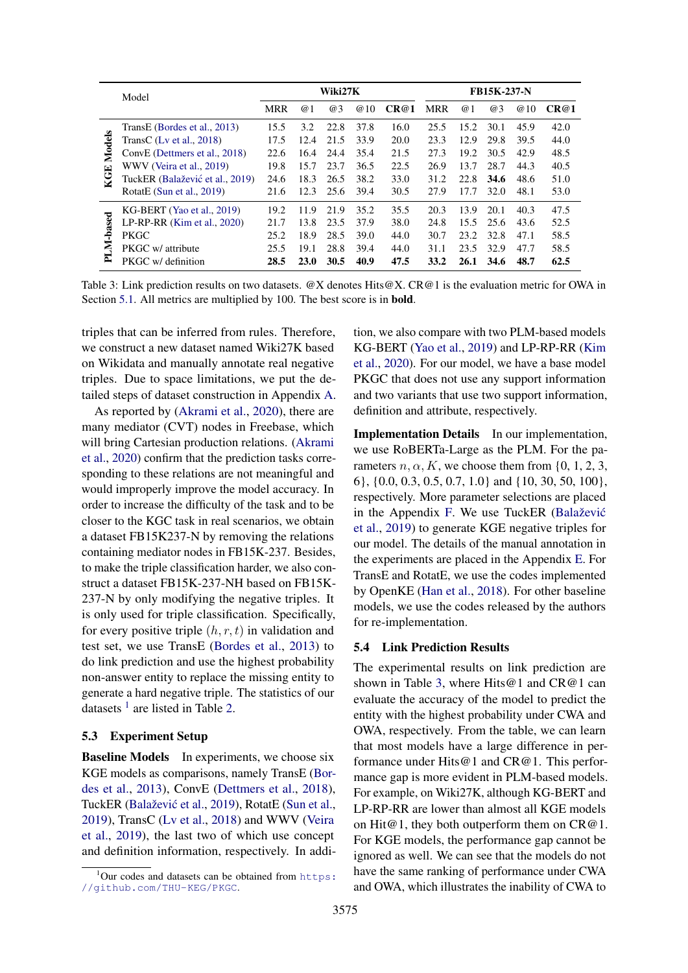<span id="page-5-1"></span>

|        | Model                           |            | Wiki27K    |      |                |      | FB15K-237-N |      |      |      |      |
|--------|---------------------------------|------------|------------|------|----------------|------|-------------|------|------|------|------|
|        |                                 | <b>MRR</b> | $\omega$ 1 | @3   | $\omega$<br>10 | CR@1 | <b>MRR</b>  | @1   | @3   | @10  | CR@1 |
|        | TransE (Bordes et al., 2013)    | 15.5       | 3.2        | 22.8 | 37.8           | 16.0 | 25.5        | 15.2 | 30.1 | 45.9 | 42.0 |
| Models | TransC (Lv et al., $2018$ )     | 17.5       | 12.4       | 21.5 | 33.9           | 20.0 | 23.3        | 12.9 | 29.8 | 39.5 | 44.0 |
|        | ConvE (Dettmers et al., 2018)   | 22.6       | 16.4       | 24.4 | 35.4           | 21.5 | 27.3        | 19.2 | 30.5 | 42.9 | 48.5 |
| 囯      | WWV (Veira et al., 2019)        | 19.8       | 15.7       | 23.7 | 36.5           | 22.5 | 26.9        | 13.7 | 28.7 | 44.3 | 40.5 |
|        | TuckER (Balažević et al., 2019) | 24.6       | 18.3       | 26.5 | 38.2           | 33.0 | 31.2        | 22.8 | 34.6 | 48.6 | 51.0 |
|        | RotatE (Sun et al., $2019$ )    | 21.6       | 12.3       | 25.6 | 39.4           | 30.5 | 27.9        | 17.7 | 32.0 | 48.1 | 53.0 |
|        | KG-BERT (Yao et al., 2019)      | 19.2       | 11.9       | 21.9 | 35.2           | 35.5 | 20.3        | 13.9 | 20.1 | 40.3 | 47.5 |
| -based | LP-RP-RR $(Kim et al., 2020)$   | 21.7       | 13.8       | 23.5 | 37.9           | 38.0 | 24.8        | 15.5 | 25.6 | 43.6 | 52.5 |
|        | <b>PKGC</b>                     | 25.2       | 18.9       | 28.5 | 39.0           | 44.0 | 30.7        | 23.2 | 32.8 | 47.1 | 58.5 |
| Ę      | PKGC w/ attribute               | 25.5       | 19.1       | 28.8 | 39.4           | 44.0 | 31.1        | 23.5 | 32.9 | 47.7 | 58.5 |
| ≃      | PKGC w/ definition              | 28.5       | 23.0       | 30.5 | 40.9           | 47.5 | 33.2        | 26.1 | 34.6 | 48.7 | 62.5 |

Table 3: Link prediction results on two datasets. @X denotes Hits@X. CR@1 is the evaluation metric for OWA in Section [5.1.](#page-4-2) All metrics are multiplied by 100. The best score is in bold.

triples that can be inferred from rules. Therefore, we construct a new dataset named Wiki27K based on Wikidata and manually annotate real negative triples. Due to space limitations, we put the detailed steps of dataset construction in Appendix [A.](#page-10-0)

As reported by [\(Akrami et al.,](#page-8-14) [2020\)](#page-8-14), there are many mediator (CVT) nodes in Freebase, which will bring Cartesian production relations. [\(Akrami](#page-8-14) [et al.,](#page-8-14) [2020\)](#page-8-14) confirm that the prediction tasks corresponding to these relations are not meaningful and would improperly improve the model accuracy. In order to increase the difficulty of the task and to be closer to the KGC task in real scenarios, we obtain a dataset FB15K237-N by removing the relations containing mediator nodes in FB15K-237. Besides, to make the triple classification harder, we also construct a dataset FB15K-237-NH based on FB15K-237-N by only modifying the negative triples. It is only used for triple classification. Specifically, for every positive triple  $(h, r, t)$  in validation and test set, we use TransE [\(Bordes et al.,](#page-8-5) [2013\)](#page-8-5) to do link prediction and use the highest probability non-answer entity to replace the missing entity to generate a hard negative triple. The statistics of our datasets  $<sup>1</sup>$  $<sup>1</sup>$  $<sup>1</sup>$  are listed in Table [2.](#page-4-3)</sup>

# <span id="page-5-2"></span>5.3 Experiment Setup

**Baseline Models** In experiments, we choose six KGE models as comparisons, namely TransE [\(Bor](#page-8-5)[des et al.,](#page-8-5) [2013\)](#page-8-5), ConvE [\(Dettmers et al.,](#page-8-8) [2018\)](#page-8-8), TuckER (Balažević et al., [2019\)](#page-8-6), RotatE [\(Sun et al.,](#page-9-5) [2019\)](#page-9-5), TransC [\(Lv et al.,](#page-8-13) [2018\)](#page-8-13) and WWV [\(Veira](#page-9-7) [et al.,](#page-9-7) [2019\)](#page-9-7), the last two of which use concept and definition information, respectively. In addition, we also compare with two PLM-based models KG-BERT [\(Yao et al.,](#page-9-2) [2019\)](#page-9-2) and LP-RP-RR [\(Kim](#page-8-2) [et al.,](#page-8-2) [2020\)](#page-8-2). For our model, we have a base model PKGC that does not use any support information and two variants that use two support information, definition and attribute, respectively.

Implementation Details In our implementation, we use RoBERTa-Large as the PLM. For the parameters  $n, \alpha, K$ , we choose them from {0, 1, 2, 3, 6}, {0.0, 0.3, 0.5, 0.7, 1.0} and {10, 30, 50, 100}, respectively. More parameter selections are placed in the Appendix [F.](#page-11-0) We use TuckER [\(Balaževic´](#page-8-6) [et al.,](#page-8-6) [2019\)](#page-8-6) to generate KGE negative triples for our model. The details of the manual annotation in the experiments are placed in the Appendix [E.](#page-11-1) For TransE and RotatE, we use the codes implemented by OpenKE [\(Han et al.,](#page-8-15) [2018\)](#page-8-15). For other baseline models, we use the codes released by the authors for re-implementation.

#### 5.4 Link Prediction Results

The experimental results on link prediction are shown in Table [3,](#page-5-1) where Hits@1 and CR@1 can evaluate the accuracy of the model to predict the entity with the highest probability under CWA and OWA, respectively. From the table, we can learn that most models have a large difference in performance under Hits@1 and CR@1. This performance gap is more evident in PLM-based models. For example, on Wiki27K, although KG-BERT and LP-RP-RR are lower than almost all KGE models on Hit@1, they both outperform them on CR@1. For KGE models, the performance gap cannot be ignored as well. We can see that the models do not have the same ranking of performance under CWA and OWA, which illustrates the inability of CWA to

<span id="page-5-0"></span> $1$ Our codes and datasets can be obtained from [https:](https://github.com/THU-KEG/PKGC) [//github.com/THU-KEG/PKGC](https://github.com/THU-KEG/PKGC).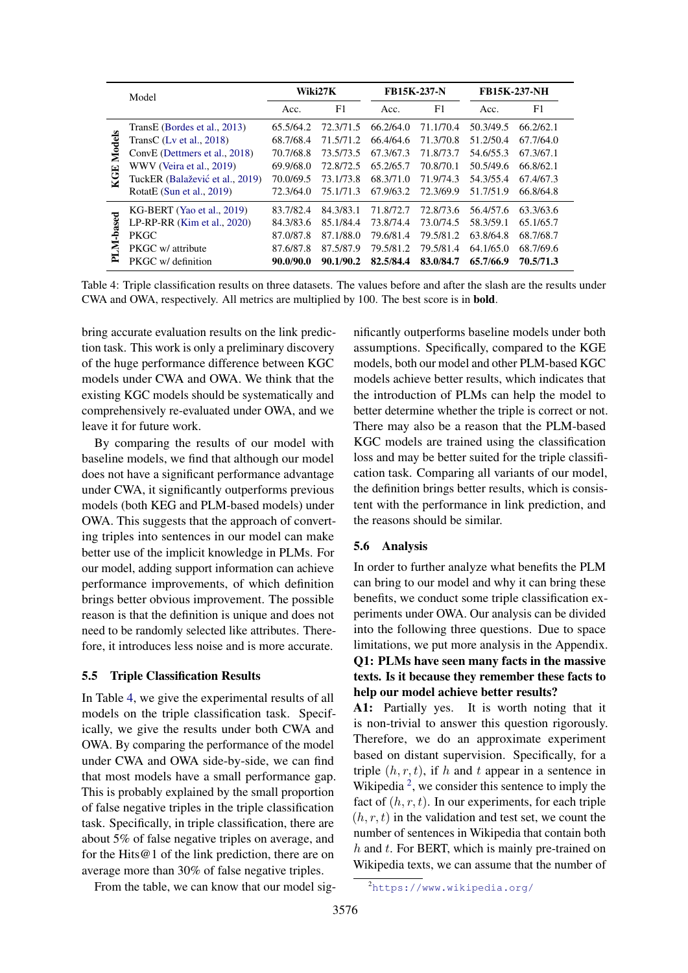<span id="page-6-0"></span>

|               | Model                           | Wiki27K   |           | <b>FB15K-237-N</b> |                | <b>FB15K-237-NH</b> |           |
|---------------|---------------------------------|-----------|-----------|--------------------|----------------|---------------------|-----------|
|               |                                 | Acc.      | F1        | Acc.               | F <sub>1</sub> | Acc.                | F1        |
|               | TransE (Bordes et al., 2013)    | 65.5/64.2 | 72.3/71.5 | 66.2/64.0          | 71.1/70.4      | 50.3/49.5           | 66.2/62.1 |
| <b>Models</b> | TransC $(Lv et al., 2018)$      | 68.7/68.4 | 71.5/71.2 | 66.4/64.6          | 71.3/70.8      | 51.2/50.4           | 67.7/64.0 |
|               | ConvE (Dettmers et al., 2018)   | 70.7/68.8 | 73.5/73.5 | 67.3/67.3          | 71.8/73.7      | 54.6/55.3           | 67.3/67.1 |
| 덕<br>ζ.       | WWV (Veira et al., 2019)        | 69.9/68.0 | 72.8/72.5 | 65.2/65.7          | 70.8/70.1      | 50.5/49.6           | 66.8/62.1 |
|               | TuckER (Balažević et al., 2019) | 70.0/69.5 | 73.1/73.8 | 68.3/71.0          | 71.9/74.3      | 54.3/55.4           | 67.4/67.3 |
|               | RotatE (Sun et al., 2019)       | 72.3/64.0 | 75.1/71.3 | 67.9/63.2          | 72.3/69.9      | 51.7/51.9           | 66.8/64.8 |
|               | $KG-BERT (Yao et al., 2019)$    | 83.7/82.4 | 84.3/83.1 | 71.8/72.7          | 72.8/73.6      | 56.4/57.6           | 63.3/63.6 |
| -based<br>Ę   | LP-RP-RR $(Kim et al., 2020)$   | 84.3/83.6 | 85.1/84.4 | 73.8/74.4          | 73.0/74.5      | 58.3/59.1           | 65.1/65.7 |
|               | <b>PKGC</b>                     | 87.0/87.8 | 87.1/88.0 | 79.6/81.4          | 79.5/81.2      | 63.8/64.8           | 68.7/68.7 |
|               | PKGC w/ attribute               | 87.6/87.8 | 87.5/87.9 | 79.5/81.2          | 79.5/81.4      | 64.1/65.0           | 68.7/69.6 |
| ≃             | PKGC w/ definition              | 90.0/90.0 | 90.1/90.2 | 82,5/84.4          | 83.0/84.7      | 65.7/66.9           | 70.5/71.3 |

Table 4: Triple classification results on three datasets. The values before and after the slash are the results under CWA and OWA, respectively. All metrics are multiplied by 100. The best score is in bold.

bring accurate evaluation results on the link prediction task. This work is only a preliminary discovery of the huge performance difference between KGC models under CWA and OWA. We think that the existing KGC models should be systematically and comprehensively re-evaluated under OWA, and we leave it for future work.

By comparing the results of our model with baseline models, we find that although our model does not have a significant performance advantage under CWA, it significantly outperforms previous models (both KEG and PLM-based models) under OWA. This suggests that the approach of converting triples into sentences in our model can make better use of the implicit knowledge in PLMs. For our model, adding support information can achieve performance improvements, of which definition brings better obvious improvement. The possible reason is that the definition is unique and does not need to be randomly selected like attributes. Therefore, it introduces less noise and is more accurate.

#### 5.5 Triple Classification Results

In Table [4,](#page-6-0) we give the experimental results of all models on the triple classification task. Specifically, we give the results under both CWA and OWA. By comparing the performance of the model under CWA and OWA side-by-side, we can find that most models have a small performance gap. This is probably explained by the small proportion of false negative triples in the triple classification task. Specifically, in triple classification, there are about 5% of false negative triples on average, and for the Hits@1 of the link prediction, there are on average more than 30% of false negative triples.

From the table, we can know that our model sig-

nificantly outperforms baseline models under both assumptions. Specifically, compared to the KGE models, both our model and other PLM-based KGC models achieve better results, which indicates that the introduction of PLMs can help the model to better determine whether the triple is correct or not. There may also be a reason that the PLM-based KGC models are trained using the classification loss and may be better suited for the triple classification task. Comparing all variants of our model, the definition brings better results, which is consistent with the performance in link prediction, and the reasons should be similar.

#### 5.6 Analysis

In order to further analyze what benefits the PLM can bring to our model and why it can bring these benefits, we conduct some triple classification experiments under OWA. Our analysis can be divided into the following three questions. Due to space limitations, we put more analysis in the Appendix. Q1: PLMs have seen many facts in the massive texts. Is it because they remember these facts to help our model achieve better results?

A1: Partially yes. It is worth noting that it is non-trivial to answer this question rigorously. Therefore, we do an approximate experiment based on distant supervision. Specifically, for a triple  $(h, r, t)$ , if h and t appear in a sentence in Wikipedia<sup>[2](#page-6-1)</sup>, we consider this sentence to imply the fact of  $(h, r, t)$ . In our experiments, for each triple  $(h, r, t)$  in the validation and test set, we count the number of sentences in Wikipedia that contain both  $h$  and  $t$ . For BERT, which is mainly pre-trained on Wikipedia texts, we can assume that the number of

<span id="page-6-1"></span><sup>2</sup><https://www.wikipedia.org/>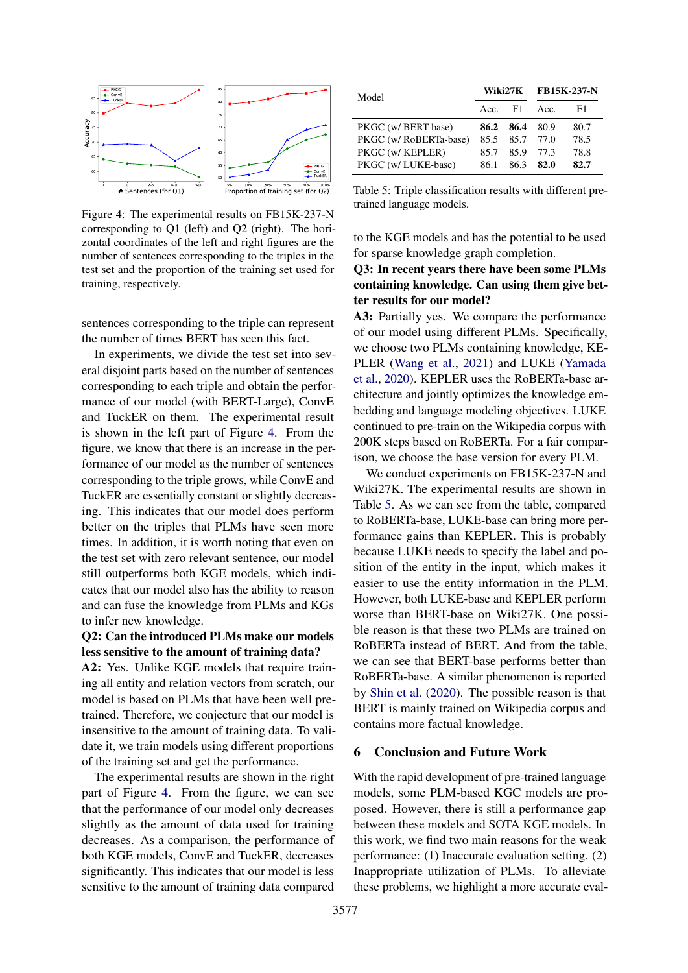<span id="page-7-0"></span>

Figure 4: The experimental results on FB15K-237-N corresponding to Q1 (left) and Q2 (right). The horizontal coordinates of the left and right figures are the number of sentences corresponding to the triples in the test set and the proportion of the training set used for training, respectively.

sentences corresponding to the triple can represent the number of times BERT has seen this fact.

In experiments, we divide the test set into several disjoint parts based on the number of sentences corresponding to each triple and obtain the performance of our model (with BERT-Large), ConvE and TuckER on them. The experimental result is shown in the left part of Figure [4.](#page-7-0) From the figure, we know that there is an increase in the performance of our model as the number of sentences corresponding to the triple grows, while ConvE and TuckER are essentially constant or slightly decreasing. This indicates that our model does perform better on the triples that PLMs have seen more times. In addition, it is worth noting that even on the test set with zero relevant sentence, our model still outperforms both KGE models, which indicates that our model also has the ability to reason and can fuse the knowledge from PLMs and KGs to infer new knowledge.

# Q2: Can the introduced PLMs make our models less sensitive to the amount of training data?

A2: Yes. Unlike KGE models that require training all entity and relation vectors from scratch, our model is based on PLMs that have been well pretrained. Therefore, we conjecture that our model is insensitive to the amount of training data. To validate it, we train models using different proportions of the training set and get the performance.

The experimental results are shown in the right part of Figure [4.](#page-7-0) From the figure, we can see that the performance of our model only decreases slightly as the amount of data used for training decreases. As a comparison, the performance of both KGE models, ConvE and TuckER, decreases significantly. This indicates that our model is less sensitive to the amount of training data compared

<span id="page-7-1"></span>

| Model                  |           |      | Wiki27K FB15K-237-N |      |  |
|------------------------|-----------|------|---------------------|------|--|
|                        | Acc. $F1$ |      | Acc.                | F1.  |  |
| PKGC (w/ BERT-base)    | 86.2      | 86.4 | - 80.9              | 80.7 |  |
| PKGC (w/ RoBERTa-base) | 85.5      |      | 85.7 77.0           | 78.5 |  |
| PKGC (w/ KEPLER)       | 85.7      | 85.9 | 77.3                | 78.8 |  |
| PKGC (w/ LUKE-base)    | 86.1      | 86.3 | 82.0                | 82.7 |  |

Table 5: Triple classification results with different pretrained language models.

to the KGE models and has the potential to be used for sparse knowledge graph completion.

# Q3: In recent years there have been some PLMs containing knowledge. Can using them give better results for our model?

A3: Partially yes. We compare the performance of our model using different PLMs. Specifically, we choose two PLMs containing knowledge, KE-PLER [\(Wang et al.,](#page-9-10) [2021\)](#page-9-10) and LUKE [\(Yamada](#page-9-11) [et al.,](#page-9-11) [2020\)](#page-9-11). KEPLER uses the RoBERTa-base architecture and jointly optimizes the knowledge embedding and language modeling objectives. LUKE continued to pre-train on the Wikipedia corpus with 200K steps based on RoBERTa. For a fair comparison, we choose the base version for every PLM.

We conduct experiments on FB15K-237-N and Wiki27K. The experimental results are shown in Table [5.](#page-7-1) As we can see from the table, compared to RoBERTa-base, LUKE-base can bring more performance gains than KEPLER. This is probably because LUKE needs to specify the label and position of the entity in the input, which makes it easier to use the entity information in the PLM. However, both LUKE-base and KEPLER perform worse than BERT-base on Wiki27K. One possible reason is that these two PLMs are trained on RoBERTa instead of BERT. And from the table, we can see that BERT-base performs better than RoBERTa-base. A similar phenomenon is reported by [Shin et al.](#page-9-1) [\(2020\)](#page-9-1). The possible reason is that BERT is mainly trained on Wikipedia corpus and contains more factual knowledge.

### 6 Conclusion and Future Work

With the rapid development of pre-trained language models, some PLM-based KGC models are proposed. However, there is still a performance gap between these models and SOTA KGE models. In this work, we find two main reasons for the weak performance: (1) Inaccurate evaluation setting. (2) Inappropriate utilization of PLMs. To alleviate these problems, we highlight a more accurate eval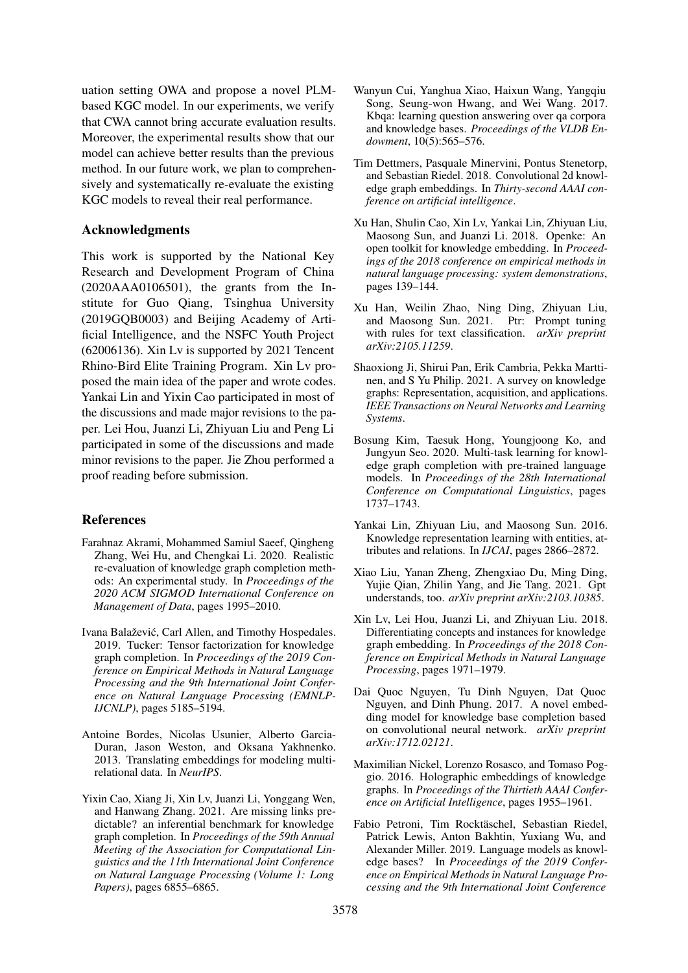uation setting OWA and propose a novel PLMbased KGC model. In our experiments, we verify that CWA cannot bring accurate evaluation results. Moreover, the experimental results show that our model can achieve better results than the previous method. In our future work, we plan to comprehensively and systematically re-evaluate the existing KGC models to reveal their real performance.

# Acknowledgments

This work is supported by the National Key Research and Development Program of China (2020AAA0106501), the grants from the Institute for Guo Qiang, Tsinghua University (2019GQB0003) and Beijing Academy of Artificial Intelligence, and the NSFC Youth Project (62006136). Xin Lv is supported by 2021 Tencent Rhino-Bird Elite Training Program. Xin Lv proposed the main idea of the paper and wrote codes. Yankai Lin and Yixin Cao participated in most of the discussions and made major revisions to the paper. Lei Hou, Juanzi Li, Zhiyuan Liu and Peng Li participated in some of the discussions and made minor revisions to the paper. Jie Zhou performed a proof reading before submission.

# References

- <span id="page-8-14"></span>Farahnaz Akrami, Mohammed Samiul Saeef, Qingheng Zhang, Wei Hu, and Chengkai Li. 2020. Realistic re-evaluation of knowledge graph completion methods: An experimental study. In *Proceedings of the 2020 ACM SIGMOD International Conference on Management of Data*, pages 1995–2010.
- <span id="page-8-6"></span>Ivana Balaževic, Carl Allen, and Timothy Hospedales. ´ 2019. Tucker: Tensor factorization for knowledge graph completion. In *Proceedings of the 2019 Conference on Empirical Methods in Natural Language Processing and the 9th International Joint Conference on Natural Language Processing (EMNLP-IJCNLP)*, pages 5185–5194.
- <span id="page-8-5"></span>Antoine Bordes, Nicolas Usunier, Alberto Garcia-Duran, Jason Weston, and Oksana Yakhnenko. 2013. Translating embeddings for modeling multirelational data. In *NeurIPS*.
- <span id="page-8-4"></span>Yixin Cao, Xiang Ji, Xin Lv, Juanzi Li, Yonggang Wen, and Hanwang Zhang. 2021. Are missing links predictable? an inferential benchmark for knowledge graph completion. In *Proceedings of the 59th Annual Meeting of the Association for Computational Linguistics and the 11th International Joint Conference on Natural Language Processing (Volume 1: Long Papers)*, pages 6855–6865.
- <span id="page-8-0"></span>Wanyun Cui, Yanghua Xiao, Haixun Wang, Yangqiu Song, Seung-won Hwang, and Wei Wang. 2017. Kbqa: learning question answering over qa corpora and knowledge bases. *Proceedings of the VLDB Endowment*, 10(5):565–576.
- <span id="page-8-8"></span>Tim Dettmers, Pasquale Minervini, Pontus Stenetorp, and Sebastian Riedel. 2018. Convolutional 2d knowledge graph embeddings. In *Thirty-second AAAI conference on artificial intelligence*.
- <span id="page-8-15"></span>Xu Han, Shulin Cao, Xin Lv, Yankai Lin, Zhiyuan Liu, Maosong Sun, and Juanzi Li. 2018. Openke: An open toolkit for knowledge embedding. In *Proceedings of the 2018 conference on empirical methods in natural language processing: system demonstrations*, pages 139–144.
- <span id="page-8-12"></span>Xu Han, Weilin Zhao, Ning Ding, Zhiyuan Liu, and Maosong Sun. 2021. Ptr: Prompt tuning with rules for text classification. *arXiv preprint arXiv:2105.11259*.
- <span id="page-8-3"></span>Shaoxiong Ji, Shirui Pan, Erik Cambria, Pekka Marttinen, and S Yu Philip. 2021. A survey on knowledge graphs: Representation, acquisition, and applications. *IEEE Transactions on Neural Networks and Learning Systems*.
- <span id="page-8-2"></span>Bosung Kim, Taesuk Hong, Youngjoong Ko, and Jungyun Seo. 2020. Multi-task learning for knowledge graph completion with pre-trained language models. In *Proceedings of the 28th International Conference on Computational Linguistics*, pages 1737–1743.
- <span id="page-8-10"></span>Yankai Lin, Zhiyuan Liu, and Maosong Sun. 2016. Knowledge representation learning with entities, attributes and relations. In *IJCAI*, pages 2866–2872.
- <span id="page-8-11"></span>Xiao Liu, Yanan Zheng, Zhengxiao Du, Ming Ding, Yujie Qian, Zhilin Yang, and Jie Tang. 2021. Gpt understands, too. *arXiv preprint arXiv:2103.10385*.
- <span id="page-8-13"></span>Xin Lv, Lei Hou, Juanzi Li, and Zhiyuan Liu. 2018. Differentiating concepts and instances for knowledge graph embedding. In *Proceedings of the 2018 Conference on Empirical Methods in Natural Language Processing*, pages 1971–1979.
- <span id="page-8-9"></span>Dai Quoc Nguyen, Tu Dinh Nguyen, Dat Quoc Nguyen, and Dinh Phung. 2017. A novel embedding model for knowledge base completion based on convolutional neural network. *arXiv preprint arXiv:1712.02121*.
- <span id="page-8-7"></span>Maximilian Nickel, Lorenzo Rosasco, and Tomaso Poggio. 2016. Holographic embeddings of knowledge graphs. In *Proceedings of the Thirtieth AAAI Conference on Artificial Intelligence*, pages 1955–1961.
- <span id="page-8-1"></span>Fabio Petroni, Tim Rocktäschel, Sebastian Riedel, Patrick Lewis, Anton Bakhtin, Yuxiang Wu, and Alexander Miller. 2019. Language models as knowledge bases? In *Proceedings of the 2019 Conference on Empirical Methods in Natural Language Processing and the 9th International Joint Conference*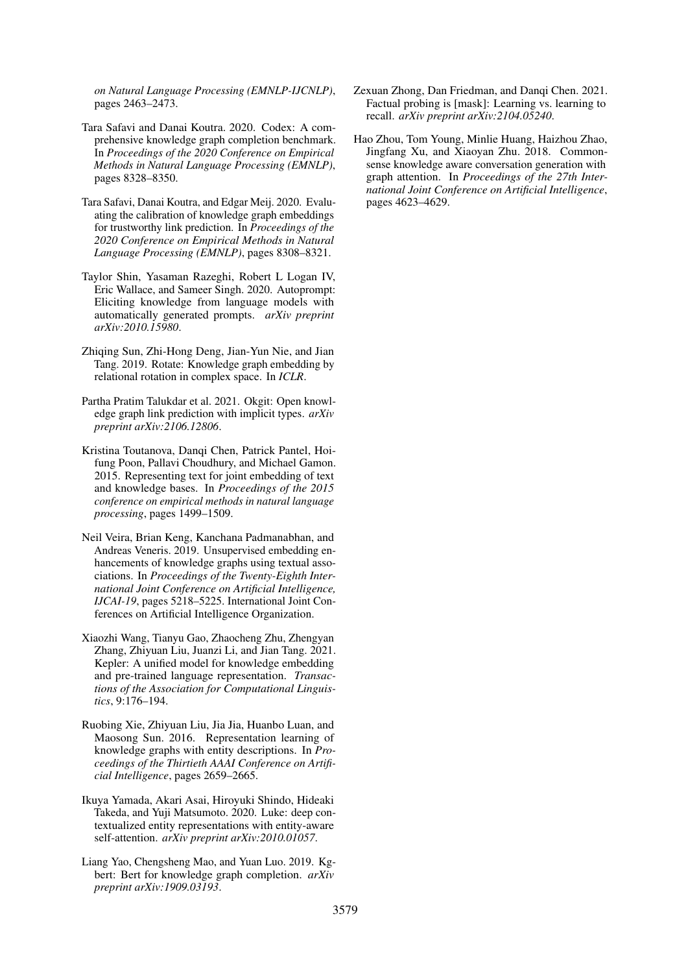*on Natural Language Processing (EMNLP-IJCNLP)*, pages 2463–2473.

- <span id="page-9-3"></span>Tara Safavi and Danai Koutra. 2020. Codex: A comprehensive knowledge graph completion benchmark. In *Proceedings of the 2020 Conference on Empirical Methods in Natural Language Processing (EMNLP)*, pages 8328–8350.
- <span id="page-9-4"></span>Tara Safavi, Danai Koutra, and Edgar Meij. 2020. Evaluating the calibration of knowledge graph embeddings for trustworthy link prediction. In *Proceedings of the 2020 Conference on Empirical Methods in Natural Language Processing (EMNLP)*, pages 8308–8321.
- <span id="page-9-1"></span>Taylor Shin, Yasaman Razeghi, Robert L Logan IV, Eric Wallace, and Sameer Singh. 2020. Autoprompt: Eliciting knowledge from language models with automatically generated prompts. *arXiv preprint arXiv:2010.15980*.
- <span id="page-9-5"></span>Zhiqing Sun, Zhi-Hong Deng, Jian-Yun Nie, and Jian Tang. 2019. Rotate: Knowledge graph embedding by relational rotation in complex space. In *ICLR*.
- <span id="page-9-8"></span>Partha Pratim Talukdar et al. 2021. Okgit: Open knowledge graph link prediction with implicit types. *arXiv preprint arXiv:2106.12806*.
- <span id="page-9-12"></span>Kristina Toutanova, Danqi Chen, Patrick Pantel, Hoifung Poon, Pallavi Choudhury, and Michael Gamon. 2015. Representing text for joint embedding of text and knowledge bases. In *Proceedings of the 2015 conference on empirical methods in natural language processing*, pages 1499–1509.
- <span id="page-9-7"></span>Neil Veira, Brian Keng, Kanchana Padmanabhan, and Andreas Veneris. 2019. Unsupervised embedding enhancements of knowledge graphs using textual associations. In *Proceedings of the Twenty-Eighth International Joint Conference on Artificial Intelligence, IJCAI-19*, pages 5218–5225. International Joint Conferences on Artificial Intelligence Organization.
- <span id="page-9-10"></span>Xiaozhi Wang, Tianyu Gao, Zhaocheng Zhu, Zhengyan Zhang, Zhiyuan Liu, Juanzi Li, and Jian Tang. 2021. Kepler: A unified model for knowledge embedding and pre-trained language representation. *Transactions of the Association for Computational Linguistics*, 9:176–194.
- <span id="page-9-6"></span>Ruobing Xie, Zhiyuan Liu, Jia Jia, Huanbo Luan, and Maosong Sun. 2016. Representation learning of knowledge graphs with entity descriptions. In *Proceedings of the Thirtieth AAAI Conference on Artificial Intelligence*, pages 2659–2665.
- <span id="page-9-11"></span>Ikuya Yamada, Akari Asai, Hiroyuki Shindo, Hideaki Takeda, and Yuji Matsumoto. 2020. Luke: deep contextualized entity representations with entity-aware self-attention. *arXiv preprint arXiv:2010.01057*.
- <span id="page-9-2"></span>Liang Yao, Chengsheng Mao, and Yuan Luo. 2019. Kgbert: Bert for knowledge graph completion. *arXiv preprint arXiv:1909.03193*.
- <span id="page-9-9"></span>Zexuan Zhong, Dan Friedman, and Danqi Chen. 2021. Factual probing is [mask]: Learning vs. learning to recall. *arXiv preprint arXiv:2104.05240*.
- <span id="page-9-0"></span>Hao Zhou, Tom Young, Minlie Huang, Haizhou Zhao, Jingfang Xu, and Xiaoyan Zhu. 2018. Commonsense knowledge aware conversation generation with graph attention. In *Proceedings of the 27th International Joint Conference on Artificial Intelligence*, pages 4623–4629.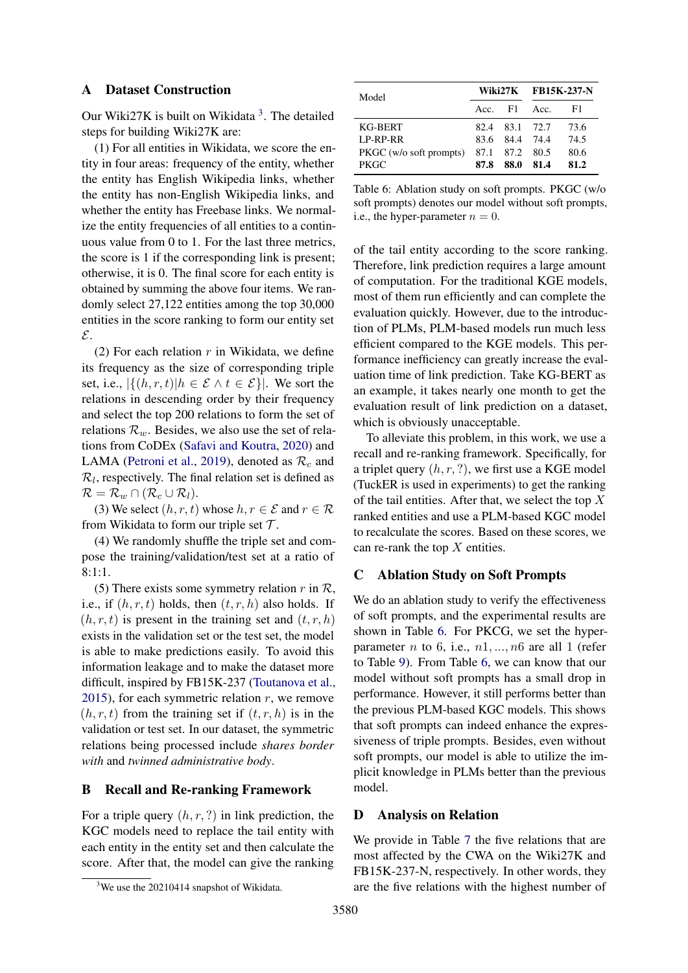# <span id="page-10-0"></span>A Dataset Construction

Our Wiki27K is built on Wikidata<sup>[3](#page-10-1)</sup>. The detailed steps for building Wiki27K are:

(1) For all entities in Wikidata, we score the entity in four areas: frequency of the entity, whether the entity has English Wikipedia links, whether the entity has non-English Wikipedia links, and whether the entity has Freebase links. We normalize the entity frequencies of all entities to a continuous value from 0 to 1. For the last three metrics, the score is 1 if the corresponding link is present; otherwise, it is 0. The final score for each entity is obtained by summing the above four items. We randomly select 27,122 entities among the top 30,000 entities in the score ranking to form our entity set E.

(2) For each relation  $r$  in Wikidata, we define its frequency as the size of corresponding triple set, i.e.,  $|\{(h, r, t)| h \in \mathcal{E} \land t \in \mathcal{E}\}|$ . We sort the relations in descending order by their frequency and select the top 200 relations to form the set of relations  $\mathcal{R}_w$ . Besides, we also use the set of relations from CoDEx [\(Safavi and Koutra,](#page-9-3) [2020\)](#page-9-3) and LAMA [\(Petroni et al.,](#page-8-1) [2019\)](#page-8-1), denoted as  $\mathcal{R}_c$  and  $\mathcal{R}_l$ , respectively. The final relation set is defined as  $\mathcal{R} = \mathcal{R}_w \cap (\mathcal{R}_c \cup \mathcal{R}_l).$ 

(3) We select  $(h, r, t)$  whose  $h, r \in \mathcal{E}$  and  $r \in \mathcal{R}$ from Wikidata to form our triple set  $\mathcal{T}$ .

(4) We randomly shuffle the triple set and compose the training/validation/test set at a ratio of 8:1:1.

(5) There exists some symmetry relation r in  $\mathcal{R}$ , i.e., if  $(h, r, t)$  holds, then  $(t, r, h)$  also holds. If  $(h, r, t)$  is present in the training set and  $(t, r, h)$ exists in the validation set or the test set, the model is able to make predictions easily. To avoid this information leakage and to make the dataset more difficult, inspired by FB15K-237 [\(Toutanova et al.,](#page-9-12) [2015\)](#page-9-12), for each symmetric relation  $r$ , we remove  $(h, r, t)$  from the training set if  $(t, r, h)$  is in the validation or test set. In our dataset, the symmetric relations being processed include *shares border with* and *twinned administrative body*.

# B Recall and Re-ranking Framework

For a triple query  $(h, r, ?)$  in link prediction, the KGC models need to replace the tail entity with each entity in the entity set and then calculate the score. After that, the model can give the ranking

<span id="page-10-2"></span>

| Model                   |           |                | Wiki27K FB15K-237-N |      |  |
|-------------------------|-----------|----------------|---------------------|------|--|
|                         | $Acc.$ F1 |                | Acc.                | - F1 |  |
| KG-BERT                 |           | 82.4 83.1 72.7 |                     | 73.6 |  |
| LP-RP-RR                |           | 83.6 84.4 74.4 |                     | 74.5 |  |
| PKGC (w/o soft prompts) |           | 87.1 87.2 80.5 |                     | 80.6 |  |
| <b>PKGC</b>             | 87.8      | -88.0          | 81.4                | 81.2 |  |

Table 6: Ablation study on soft prompts. PKGC (w/o soft prompts) denotes our model without soft prompts, i.e., the hyper-parameter  $n = 0$ .

of the tail entity according to the score ranking. Therefore, link prediction requires a large amount of computation. For the traditional KGE models, most of them run efficiently and can complete the evaluation quickly. However, due to the introduction of PLMs, PLM-based models run much less efficient compared to the KGE models. This performance inefficiency can greatly increase the evaluation time of link prediction. Take KG-BERT as an example, it takes nearly one month to get the evaluation result of link prediction on a dataset, which is obviously unacceptable.

To alleviate this problem, in this work, we use a recall and re-ranking framework. Specifically, for a triplet query  $(h, r, ?)$ , we first use a KGE model (TuckER is used in experiments) to get the ranking of the tail entities. After that, we select the top  $X$ ranked entities and use a PLM-based KGC model to recalculate the scores. Based on these scores, we can re-rank the top  $X$  entities.

# C Ablation Study on Soft Prompts

We do an ablation study to verify the effectiveness of soft prompts, and the experimental results are shown in Table [6.](#page-10-2) For PKCG, we set the hyperparameter *n* to 6, i.e.,  $n1, ..., n6$  are all 1 (refer to Table [9\)](#page-11-2). From Table [6,](#page-10-2) we can know that our model without soft prompts has a small drop in performance. However, it still performs better than the previous PLM-based KGC models. This shows that soft prompts can indeed enhance the expressiveness of triple prompts. Besides, even without soft prompts, our model is able to utilize the implicit knowledge in PLMs better than the previous model.

# D Analysis on Relation

We provide in Table [7](#page-11-3) the five relations that are most affected by the CWA on the Wiki27K and FB15K-237-N, respectively. In other words, they are the five relations with the highest number of

<span id="page-10-1"></span> $3$ We use the 20210414 snapshot of Wikidata.